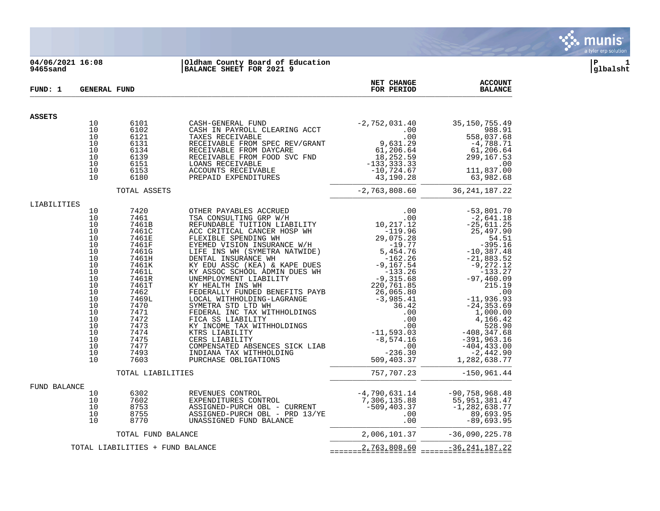

## **04/06/2021 16:08 |Oldham County Board of Education |P 1 9465sand |BALANCE SHEET FOR 2021 9 |glbalsht**

| FUND: 1      | <b>GENERAL FUND</b> |                                  |                                                                                                                                                                                                                                                                                                                                                                                                                                               | NET CHANGE<br>FOR PERIOD                                                                           | <b>ACCOUNT</b><br><b>BALANCE</b>                                                                          |
|--------------|---------------------|----------------------------------|-----------------------------------------------------------------------------------------------------------------------------------------------------------------------------------------------------------------------------------------------------------------------------------------------------------------------------------------------------------------------------------------------------------------------------------------------|----------------------------------------------------------------------------------------------------|-----------------------------------------------------------------------------------------------------------|
| ASSETS       |                     |                                  |                                                                                                                                                                                                                                                                                                                                                                                                                                               |                                                                                                    |                                                                                                           |
|              | 10                  | 6101                             |                                                                                                                                                                                                                                                                                                                                                                                                                                               |                                                                                                    | 35, 150, 755. 49                                                                                          |
|              | 10                  | 6102                             |                                                                                                                                                                                                                                                                                                                                                                                                                                               |                                                                                                    | 988.91                                                                                                    |
|              | 10                  | 6121                             |                                                                                                                                                                                                                                                                                                                                                                                                                                               |                                                                                                    | 558,037.68                                                                                                |
|              | 10                  | 6131                             |                                                                                                                                                                                                                                                                                                                                                                                                                                               |                                                                                                    | $-4,788.71$                                                                                               |
|              | 10                  | 6134                             |                                                                                                                                                                                                                                                                                                                                                                                                                                               |                                                                                                    | 61,206.64                                                                                                 |
|              | 10<br>10            | 6139                             |                                                                                                                                                                                                                                                                                                                                                                                                                                               |                                                                                                    | 299,167.53                                                                                                |
|              | 10                  | 6151<br>6153                     |                                                                                                                                                                                                                                                                                                                                                                                                                                               |                                                                                                    | .00<br>111,837.00                                                                                         |
|              | 10                  | 6180                             |                                                                                                                                                                                                                                                                                                                                                                                                                                               |                                                                                                    | 63,982.68                                                                                                 |
|              |                     | TOTAL ASSETS                     |                                                                                                                                                                                                                                                                                                                                                                                                                                               | $-2,763,808.60$                                                                                    | 36, 241, 187. 22                                                                                          |
| LIABILITIES  |                     |                                  | $\begin{tabular}{ c c } \hline & & & & & & & & \\ \hline \multicolumn{3}{ c }{\textbf{OTHER} PAYABLES} \textbf{ ACCRUED} & & & & & & \\ \hline \multicolumn{3}{ c }{\textbf{REFUNDABLE TUITION} \textbf{ LIBBILITY}} & & & & & 10, 217, 12 \\ \hline \textbf{ACC CRTICAL CANCES} \textbf{HODING WH} & & & & & -119, 96 \\ \hline \multicolumn{3}{ c }{\textbf{EYENED} \textbf{V} ISION INSURANCE WH} & & & & & 29, 075, 28 \\ \hline \multic$ |                                                                                                    |                                                                                                           |
|              | 10                  | 7420                             |                                                                                                                                                                                                                                                                                                                                                                                                                                               |                                                                                                    | $-53,801.70$                                                                                              |
|              | 10                  | 7461                             |                                                                                                                                                                                                                                                                                                                                                                                                                                               |                                                                                                    | $-2,641.18$                                                                                               |
|              | 10<br>10            | 7461B<br>7461C                   |                                                                                                                                                                                                                                                                                                                                                                                                                                               |                                                                                                    | -25, bii.<br>25, 497. 90<br>54. 51                                                                        |
|              | 10                  | 7461E                            |                                                                                                                                                                                                                                                                                                                                                                                                                                               |                                                                                                    | 54.51                                                                                                     |
|              | 10                  | 7461F                            |                                                                                                                                                                                                                                                                                                                                                                                                                                               |                                                                                                    | $-395.16$                                                                                                 |
|              | 10                  | 7461G                            |                                                                                                                                                                                                                                                                                                                                                                                                                                               |                                                                                                    | $-10,387.48$                                                                                              |
|              | 10                  | 7461H                            |                                                                                                                                                                                                                                                                                                                                                                                                                                               |                                                                                                    | $-21,883.52$                                                                                              |
|              | 10                  | 7461K                            |                                                                                                                                                                                                                                                                                                                                                                                                                                               |                                                                                                    | -9,272.12                                                                                                 |
|              | 10                  | 7461L                            |                                                                                                                                                                                                                                                                                                                                                                                                                                               |                                                                                                    | $-133.27$                                                                                                 |
|              | 10                  | 7461R                            |                                                                                                                                                                                                                                                                                                                                                                                                                                               |                                                                                                    | $-97, 460.09$                                                                                             |
|              | 10<br>10            | 7461T<br>7462                    |                                                                                                                                                                                                                                                                                                                                                                                                                                               |                                                                                                    | 215.19                                                                                                    |
|              | 10                  | 7469L                            |                                                                                                                                                                                                                                                                                                                                                                                                                                               |                                                                                                    | $\ddots$ 00<br>$-11,936.93$                                                                               |
|              | 10                  | 7470                             |                                                                                                                                                                                                                                                                                                                                                                                                                                               |                                                                                                    | $-24, 353.69$                                                                                             |
|              | 10                  | 7471                             | SYMETRA STD LTD WH<br>FEDERAL INC TAX WITHHOLDINGS<br>FICA SS LIABILITY<br>KY INCOME TAY WITHHOLDINGS                                                                                                                                                                                                                                                                                                                                         |                                                                                                    | 1,000.00                                                                                                  |
|              | 10                  | 7472                             |                                                                                                                                                                                                                                                                                                                                                                                                                                               |                                                                                                    | 4,166.42                                                                                                  |
|              | 10                  | 7473                             |                                                                                                                                                                                                                                                                                                                                                                                                                                               |                                                                                                    | 528.50<br>408,347.68 -<br>391,963.16<br>404,433.00                                                        |
|              | 10                  | 7474                             | KI INCOMB IAK                                                                                                                                                                                                                                                                                                                                                                                                                                 |                                                                                                    |                                                                                                           |
|              | 10                  | 7475                             | CERS LIABILITY                                                                                                                                                                                                                                                                                                                                                                                                                                | $-8,574.16$                                                                                        |                                                                                                           |
|              | 10<br>10            | 7477<br>7493                     | COMPENSATED ABSENCES SICK LIAB                                                                                                                                                                                                                                                                                                                                                                                                                | .00<br>$-236.30$                                                                                   | $-404, 433.00$                                                                                            |
|              | 10                  | 7603                             | INDIANA TAX WITHHOLDING<br>PURCHASE OBLIGATIONS                                                                                                                                                                                                                                                                                                                                                                                               | 509,403.37                                                                                         | -2,442.90<br>1,282,638.77                                                                                 |
|              |                     |                                  |                                                                                                                                                                                                                                                                                                                                                                                                                                               |                                                                                                    |                                                                                                           |
|              |                     | TOTAL LIABILITIES                |                                                                                                                                                                                                                                                                                                                                                                                                                                               | 757,707.23                                                                                         | $-150, 961.44$                                                                                            |
| FUND BALANCE |                     |                                  |                                                                                                                                                                                                                                                                                                                                                                                                                                               |                                                                                                    |                                                                                                           |
|              | 10                  | 6302                             | REVENUES CONTROL                                                                                                                                                                                                                                                                                                                                                                                                                              |                                                                                                    | $-4,790,631.14$ $-90,758,968.48$                                                                          |
|              | 10<br>10            | 7602<br>8753                     | EXPENDITURES CONTROL<br>ASSIGNED-PURCH OBL - CURRENT                                                                                                                                                                                                                                                                                                                                                                                          | 7,306,135.88<br>-509,403.37                                                                        | 55,951,381.47<br>$-1, 282, 638.77$                                                                        |
|              | 10                  | 8755                             | ASSIGNED-PURCH OBL - PRD 13/YE                                                                                                                                                                                                                                                                                                                                                                                                                | .00                                                                                                |                                                                                                           |
|              | 10                  | 8770                             | UNASSIGNED FUND BALANCE                                                                                                                                                                                                                                                                                                                                                                                                                       | .00                                                                                                | 89,693.95<br>$-89,693.95$                                                                                 |
|              |                     | TOTAL FUND BALANCE               |                                                                                                                                                                                                                                                                                                                                                                                                                                               |                                                                                                    | 2,006,101.37 -36,090,225.78                                                                               |
|              |                     | TOTAL LIABILITIES + FUND BALANCE |                                                                                                                                                                                                                                                                                                                                                                                                                                               | $=$ = = = = = $=$ $=$ $=$ $\frac{2}{5}$ $=$ $\frac{263}{5}$ $=$ $\frac{808}{5}$ $=$ $\frac{60}{5}$ | $=$ = = = = = $=$ $=$ $=$ $\frac{26}{5}$ $\le$ $\frac{241}{5}$ $\le$ $\frac{187}{5}$ $\le$ $\frac{22}{5}$ |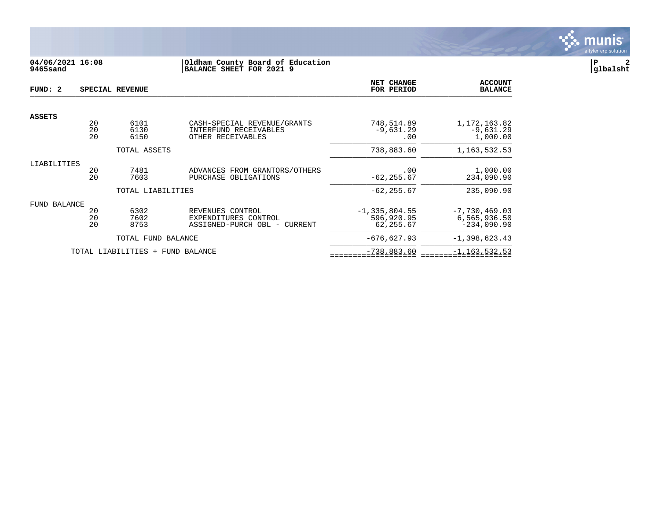

# **04/06/2021 16:08 |Oldham County Board of Education |P 2 9465sand |BALANCE SHEET FOR 2021 9 |glbalsht**

| FUND: 2             |                | SPECIAL REVENUE                  |                                                                           | NET CHANGE<br>FOR PERIOD                     | <b>ACCOUNT</b><br><b>BALANCE</b>                 |
|---------------------|----------------|----------------------------------|---------------------------------------------------------------------------|----------------------------------------------|--------------------------------------------------|
|                     |                |                                  |                                                                           |                                              |                                                  |
| <b>ASSETS</b>       | 20<br>20<br>20 | 6101<br>6130<br>6150             | CASH-SPECIAL REVENUE/GRANTS<br>INTERFUND RECEIVABLES<br>OTHER RECEIVABLES | 748,514.89<br>$-9,631.29$<br>.00             | 1, 172, 163.82<br>$-9,631.29$<br>1,000.00        |
|                     |                | TOTAL ASSETS                     |                                                                           | 738,883.60                                   | 1, 163, 532.53                                   |
| LIABILITIES         | 20<br>20       | 7481<br>7603                     | ADVANCES FROM GRANTORS/OTHERS<br>PURCHASE OBLIGATIONS                     | .00<br>$-62, 255.67$                         | 1,000.00<br>234,090.90                           |
|                     |                | TOTAL LIABILITIES                |                                                                           | $-62, 255.67$                                | 235,090.90                                       |
| <b>FUND BALANCE</b> | 20<br>20<br>20 | 6302<br>7602<br>8753             | REVENUES CONTROL<br>EXPENDITURES CONTROL<br>ASSIGNED-PURCH OBL - CURRENT  | $-1, 335, 804.55$<br>596,920.95<br>62,255.67 | $-7,730,469.03$<br>6,565,936.50<br>$-234,090.90$ |
|                     |                | TOTAL FUND BALANCE               |                                                                           | $-676,627.93$                                | $-1,398,623.43$                                  |
|                     |                | TOTAL LIABILITIES + FUND BALANCE |                                                                           | $-738,883.60$                                | $-1, 163, 532.53$                                |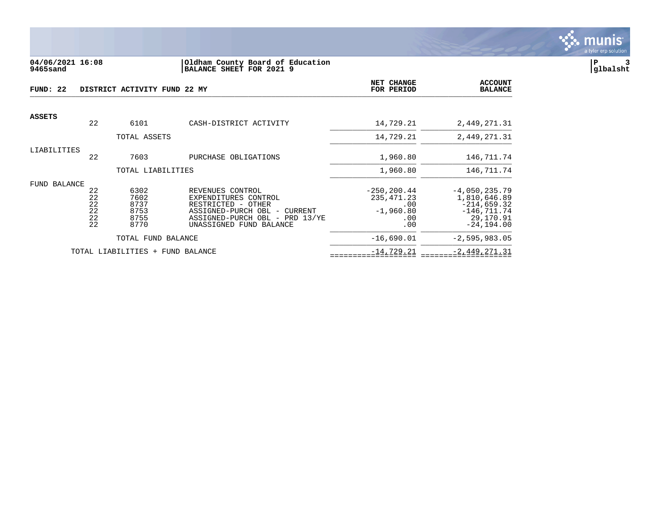

### **04/06/2021 16:08 |Oldham County Board of Education |P 3 9465sand |BALANCE SHEET FOR 2021 9 |glbalsht**

| FUND: 22      |                                  | DISTRICT ACTIVITY FUND 22 MY                 |                                                                                                                                                                | <b>NET CHANGE</b><br>FOR PERIOD                                   | <b>ACCOUNT</b><br><b>BALANCE</b>                                                                 |
|---------------|----------------------------------|----------------------------------------------|----------------------------------------------------------------------------------------------------------------------------------------------------------------|-------------------------------------------------------------------|--------------------------------------------------------------------------------------------------|
| <b>ASSETS</b> |                                  |                                              |                                                                                                                                                                |                                                                   |                                                                                                  |
|               | 22                               | 6101                                         | CASH-DISTRICT ACTIVITY                                                                                                                                         | 14,729.21                                                         | 2,449,271.31                                                                                     |
|               |                                  | TOTAL ASSETS                                 |                                                                                                                                                                | 14,729.21                                                         | 2,449,271.31                                                                                     |
| LIABILITIES   | 22                               | 7603                                         | PURCHASE OBLIGATIONS                                                                                                                                           | 1,960.80                                                          | 146,711.74                                                                                       |
|               |                                  | TOTAL LIABILITIES                            |                                                                                                                                                                | 1,960.80                                                          | 146,711.74                                                                                       |
| FUND BALANCE  |                                  |                                              |                                                                                                                                                                |                                                                   |                                                                                                  |
|               | 22<br>22<br>22<br>22<br>22<br>22 | 6302<br>7602<br>8737<br>8753<br>8755<br>8770 | REVENUES CONTROL<br>EXPENDITURES CONTROL<br>RESTRICTED - OTHER<br>ASSIGNED-PURCH OBL -<br>CURRENT<br>ASSIGNED-PURCH OBL - PRD 13/YE<br>UNASSIGNED FUND BALANCE | $-250, 200.44$<br>235, 471.23<br>.00<br>$-1,960.80$<br>.00<br>.00 | $-4,050,235.79$<br>1,810,646.89<br>$-214,659.32$<br>$-146, 711.74$<br>29,170.91<br>$-24, 194.00$ |
|               |                                  | TOTAL FUND BALANCE                           |                                                                                                                                                                | $-16,690.01$                                                      | $-2,595,983.05$                                                                                  |
|               |                                  | TOTAL LIABILITIES + FUND BALANCE             |                                                                                                                                                                | $-14, 729.21$                                                     | $-2,449,271.31$                                                                                  |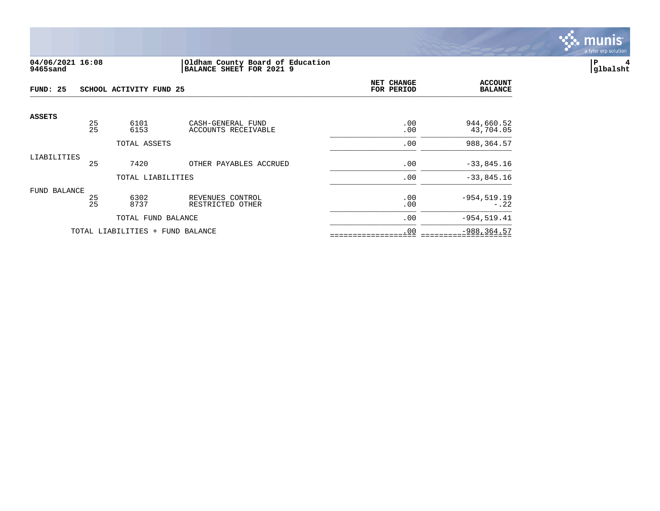

## **04/06/2021 16:08 |Oldham County Board of Education |P 4 9465sand |BALANCE SHEET FOR 2021 9 |glbalsht**

| FUND: 25      |          | SCHOOL ACTIVITY FUND 25          |                                      | <b>NET CHANGE</b><br>FOR PERIOD | <b>ACCOUNT</b><br><b>BALANCE</b> |
|---------------|----------|----------------------------------|--------------------------------------|---------------------------------|----------------------------------|
| <b>ASSETS</b> | 25       | 6101                             | CASH-GENERAL FUND                    | .00                             | 944,660.52                       |
|               | 25       | 6153                             | ACCOUNTS RECEIVABLE                  | .00                             | 43,704.05                        |
|               |          | TOTAL ASSETS                     |                                      | .00                             | 988, 364.57                      |
| LIABILITIES   |          |                                  |                                      |                                 |                                  |
|               | 25       | 7420                             | OTHER PAYABLES ACCRUED               | .00                             | $-33,845.16$                     |
|               |          | TOTAL LIABILITIES                |                                      | .00                             | $-33,845.16$                     |
| FUND BALANCE  |          |                                  |                                      |                                 |                                  |
|               | 25<br>25 | 6302<br>8737                     | REVENUES CONTROL<br>RESTRICTED OTHER | .00<br>.00                      | $-954, 519.19$<br>$-.22$         |
|               |          | TOTAL FUND BALANCE               |                                      | .00                             | $-954, 519.41$                   |
|               |          | TOTAL LIABILITIES + FUND BALANCE |                                      | .00                             | $-988, 364.57$                   |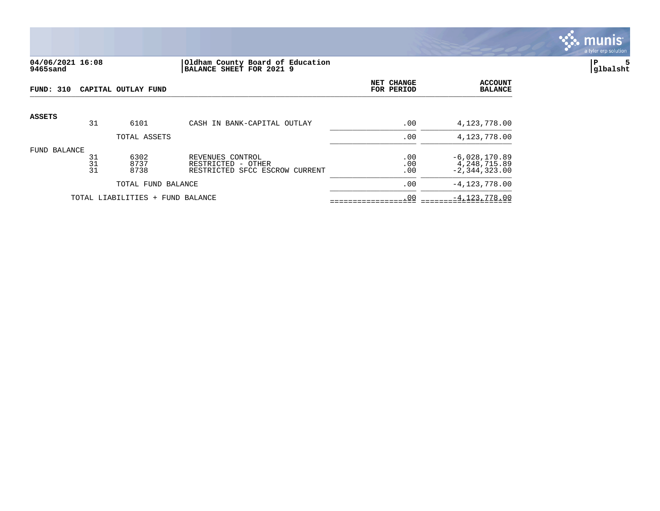

## **04/06/2021 16:08 |Oldham County Board of Education |P 5 9465sand |BALANCE SHEET FOR 2021 9 |glbalsht**

| <b>FUND: 310</b> |                | CAPITAL OUTLAY FUND              |                                                                          | NET CHANGE<br>FOR PERIOD | <b>ACCOUNT</b><br><b>BALANCE</b>                     |
|------------------|----------------|----------------------------------|--------------------------------------------------------------------------|--------------------------|------------------------------------------------------|
| <b>ASSETS</b>    | 31             | 6101                             | CASH IN BANK-CAPITAL OUTLAY                                              | .00                      | 4,123,778.00                                         |
|                  |                | TOTAL ASSETS                     |                                                                          | .00                      | 4,123,778.00                                         |
| FUND BALANCE     | 31<br>31<br>31 | 6302<br>8737<br>8738             | REVENUES CONTROL<br>RESTRICTED - OTHER<br>RESTRICTED SFCC ESCROW CURRENT | .00<br>.00<br>.00        | $-6,028,170.89$<br>4,248,715.89<br>$-2, 344, 323.00$ |
|                  |                | TOTAL FUND BALANCE               |                                                                          | .00                      | $-4, 123, 778.00$                                    |
|                  |                | TOTAL LIABILITIES + FUND BALANCE |                                                                          | .00                      | $-4, 123, 778.00$                                    |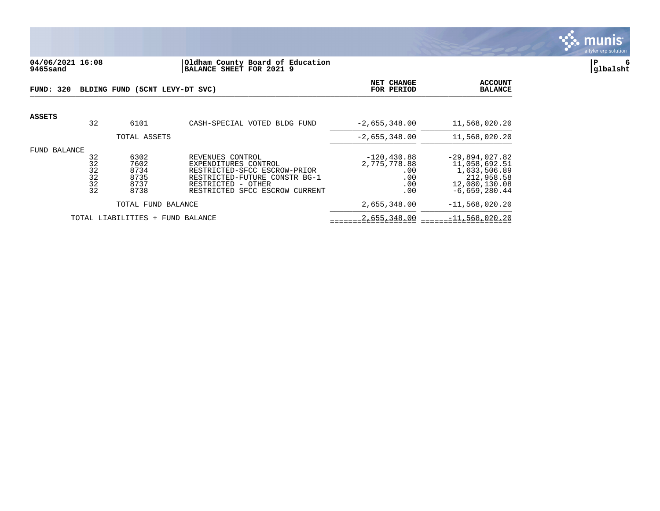

## **04/06/2021 16:08 |Oldham County Board of Education |P 6 9465sand |BALANCE SHEET FOR 2021 9 |glbalsht**

| FUND: 320     |                                             | BLDING FUND (5CNT LEVY-DT SVC)               | NET CHANGE<br>FOR PERIOD                                                                                                                                          | <b>ACCOUNT</b><br><b>BALANCE</b>                           |                                                                                                     |
|---------------|---------------------------------------------|----------------------------------------------|-------------------------------------------------------------------------------------------------------------------------------------------------------------------|------------------------------------------------------------|-----------------------------------------------------------------------------------------------------|
| <b>ASSETS</b> | 32                                          | 6101                                         | CASH-SPECIAL VOTED BLDG FUND                                                                                                                                      | $-2,655,348.00$                                            | 11,568,020.20                                                                                       |
|               |                                             | TOTAL ASSETS                                 |                                                                                                                                                                   | $-2,655,348.00$                                            | 11,568,020.20                                                                                       |
| FUND          | BALANCE<br>32<br>32<br>32<br>32<br>32<br>32 | 6302<br>7602<br>8734<br>8735<br>8737<br>8738 | REVENUES CONTROL<br>EXPENDITURES CONTROL<br>RESTRICTED-SFCC ESCROW-PRIOR<br>RESTRICTED-FUTURE CONSTR BG-1<br>RESTRICTED - OTHER<br>RESTRICTED SFCC ESCROW CURRENT | $-120, 430.88$<br>2,775,778.88<br>.00<br>.00<br>.00<br>.00 | $-29,894,027.82$<br>11,058,692.51<br>1,633,506.89<br>212,958.58<br>12,080,130.08<br>$-6,659,280.44$ |
|               |                                             | TOTAL FUND BALANCE                           |                                                                                                                                                                   | 2,655,348.00                                               | $-11,568,020.20$                                                                                    |
|               |                                             | TOTAL LIABILITIES + FUND BALANCE             |                                                                                                                                                                   | 2,655,348.00                                               | $-11,568,020.20$                                                                                    |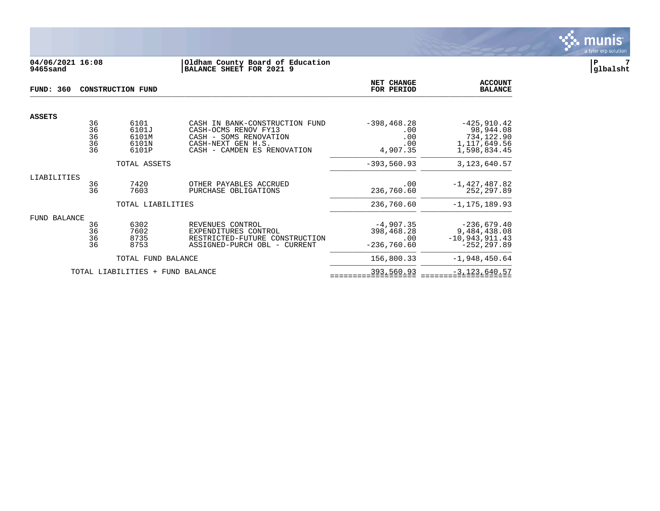

## **04/06/2021 16:08 |Oldham County Board of Education |P 7 9465sand |BALANCE SHEET FOR 2021 9 |glbalsht**

| <b>FUND: 360</b> |                            | <b>CONSTRUCTION FUND</b>                 |                                                                                                                                       | NET CHANGE<br>FOR PERIOD                          | <b>ACCOUNT</b><br><b>BALANCE</b>                                          |
|------------------|----------------------------|------------------------------------------|---------------------------------------------------------------------------------------------------------------------------------------|---------------------------------------------------|---------------------------------------------------------------------------|
| <b>ASSETS</b>    |                            |                                          |                                                                                                                                       |                                                   |                                                                           |
|                  | 36<br>36<br>36<br>36<br>36 | 6101<br>6101J<br>6101M<br>6101N<br>6101P | CASH IN BANK-CONSTRUCTION FUND<br>CASH-OCMS RENOV FY13<br>CASH - SOMS RENOVATION<br>CASH-NEXT GEN H.S.<br>CASH - CAMDEN ES RENOVATION | $-398, 468.28$<br>.00<br>.00<br>.00<br>4,907.35   | $-425, 910.42$<br>98,944.08<br>734,122.90<br>1,117,649.56<br>1,598,834.45 |
|                  |                            | TOTAL ASSETS                             |                                                                                                                                       | $-393,560.93$                                     | 3, 123, 640. 57                                                           |
| LIABILITIES      |                            |                                          |                                                                                                                                       |                                                   |                                                                           |
|                  | 36<br>36                   | 7420<br>7603                             | OTHER PAYABLES ACCRUED<br>PURCHASE OBLIGATIONS                                                                                        | .00<br>236,760.60                                 | $-1,427,487.82$<br>252, 297.89                                            |
|                  |                            | TOTAL LIABILITIES                        |                                                                                                                                       | 236,760.60                                        | $-1, 175, 189.93$                                                         |
| FUND BALANCE     |                            |                                          |                                                                                                                                       |                                                   |                                                                           |
|                  | 36<br>36<br>36<br>36       | 6302<br>7602<br>8735<br>8753             | REVENUES CONTROL<br>EXPENDITURES CONTROL<br>RESTRICTED-FUTURE CONSTRUCTION<br>ASSIGNED-PURCH OBL - CURRENT                            | $-4,907.35$<br>398,468.28<br>.00<br>$-236,760.60$ | $-236,679.40$<br>9,484,438.08<br>$-10,943,911.43$<br>$-252, 297.89$       |
|                  |                            | TOTAL FUND BALANCE                       |                                                                                                                                       | 156,800.33                                        | $-1,948,450.64$                                                           |
|                  |                            | TOTAL LIABILITIES<br>$+$                 | FUND BALANCE                                                                                                                          | 393,560.93                                        | $-3, 123, 640.57$                                                         |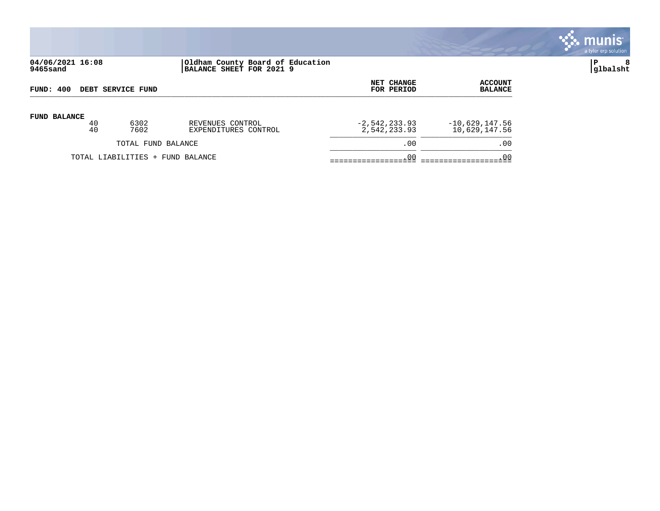

# **04/06/2021 16:08 |Oldham County Board of Education |P 8 9465sand |BALANCE SHEET FOR 2021 9 |glbalsht**

| FUND: 400                        |          | <b>DEBT SERVICE FUND</b> |                                          | <b>NET CHANGE</b><br>FOR PERIOD | ACCOUNT<br><b>BALANCE</b>         |
|----------------------------------|----------|--------------------------|------------------------------------------|---------------------------------|-----------------------------------|
| <b>FUND BALANCE</b>              | 40<br>40 | 6302<br>7602             | REVENUES CONTROL<br>EXPENDITURES CONTROL | $-2,542,233.93$<br>2,542,233.93 | $-10,629,147.56$<br>10,629,147.56 |
|                                  |          | TOTAL FUND BALANCE       |                                          | .00                             | .00                               |
| TOTAL LIABILITIES + FUND BALANCE |          |                          | .00                                      | .00                             |                                   |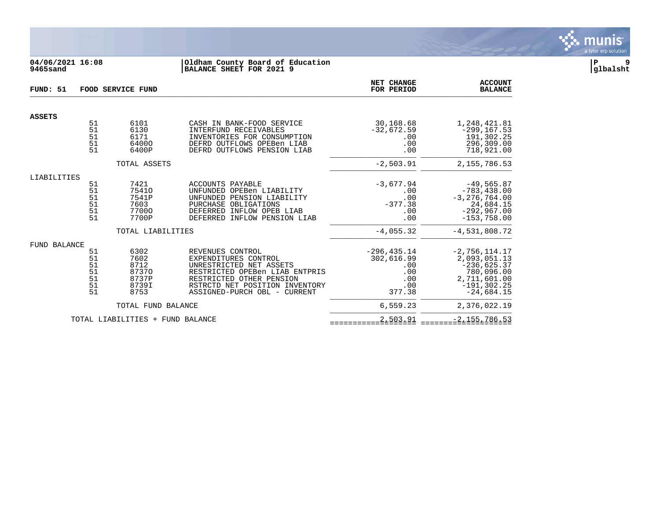

# **04/06/2021 16:08 |Oldham County Board of Education |P 9 9465sand |BALANCE SHEET FOR 2021 9 |glbalsht**

| FUND: 51      | FOOD SERVICE FUND                      |                                                         |                                                                                                                                                                                                     | NET CHANGE<br>FOR PERIOD                                           | <b>ACCOUNT</b><br><b>BALANCE</b>                                                                                 |
|---------------|----------------------------------------|---------------------------------------------------------|-----------------------------------------------------------------------------------------------------------------------------------------------------------------------------------------------------|--------------------------------------------------------------------|------------------------------------------------------------------------------------------------------------------|
| <b>ASSETS</b> |                                        |                                                         |                                                                                                                                                                                                     |                                                                    |                                                                                                                  |
|               | 51<br>51<br>51<br>51<br>51             | 6101<br>6130<br>6171<br>64000<br>6400P                  | CASH IN BANK-FOOD SERVICE<br>INTERFUND RECEIVABLES<br>INVENTORIES FOR CONSUMPTION<br>DEFRD OUTFLOWS OPEBen LIAB<br>DEFRD OUTFLOWS PENSION LIAB                                                      | 30,168.68<br>$-32,672.59$<br>.00<br>.00<br>.00                     | 1,248,421.81<br>$-299, 167.53$<br>191,302.25<br>296,309.00<br>718,921.00                                         |
|               |                                        | TOTAL ASSETS                                            |                                                                                                                                                                                                     | $-2,503.91$                                                        | 2, 155, 786.53                                                                                                   |
| LIABILITIES   |                                        |                                                         |                                                                                                                                                                                                     |                                                                    |                                                                                                                  |
|               | 51<br>51<br>51<br>51<br>51<br>51       | 7421<br>75410<br>7541P<br>7603<br>77000<br>7700P        | ACCOUNTS PAYABLE<br>UNFUNDED OPEBen LIABILITY<br>UNFUNDED PENSION LIABILITY<br>PURCHASE OBLIGATIONS<br>DEFERRED INFLOW OPEB LIAB<br>DEFERRED INFLOW PENSION LIAB                                    | $-3,677.94$<br>.00<br>.00<br>$-377.38$<br>.00<br>.00               | $-49, 565.87$<br>$-783, 438.00$<br>$-3, 276, 764.00$<br>24,684.15<br>$-292,967.00$<br>$-153,758.00$              |
|               |                                        | TOTAL LIABILITIES                                       |                                                                                                                                                                                                     | $-4,055.32$                                                        | $-4,531,808.72$                                                                                                  |
| FUND BALANCE  | 51<br>51<br>51<br>51<br>51<br>51<br>51 | 6302<br>7602<br>8712<br>87370<br>8737P<br>8739I<br>8753 | REVENUES CONTROL<br>EXPENDITURES CONTROL<br>UNRESTRICTED NET ASSETS<br>RESTRICTED OPEBen LIAB ENTPRIS<br>RESTRICTED OTHER PENSION<br>RSTRCTD NET POSITION INVENTORY<br>ASSIGNED-PURCH OBL - CURRENT | $-296, 435.14$<br>302,616.99<br>.00<br>.00<br>.00<br>.00<br>377.38 | $-2,756,114.17$<br>2,093,051.13<br>$-236,625.37$<br>780,096.00<br>2,711,601.00<br>$-191, 302.25$<br>$-24,684.15$ |
|               |                                        | TOTAL FUND BALANCE                                      |                                                                                                                                                                                                     | 6,559.23                                                           | 2,376,022.19                                                                                                     |
|               |                                        | TOTAL LIABILITIES + FUND BALANCE                        |                                                                                                                                                                                                     | 2,503.91                                                           | $-2, 155, 786.53$                                                                                                |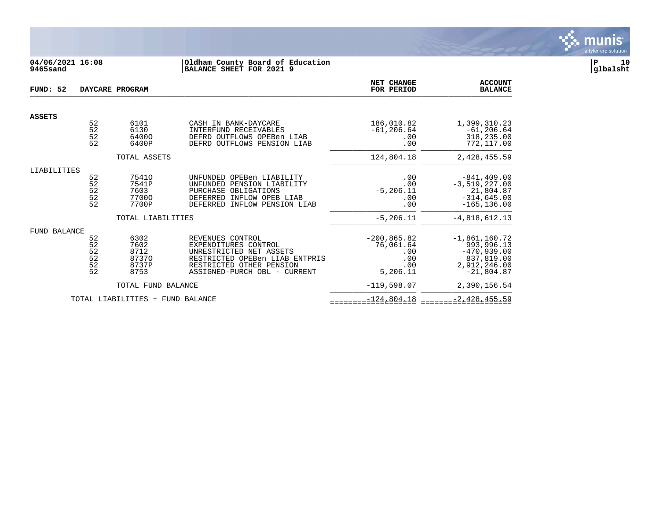

# **04/06/2021 16:08 |Oldham County Board of Education |P 10 9465sand |BALANCE SHEET FOR 2021 9 |glbalsht**

| FUND: 52      |                                         | DAYCARE PROGRAM                                |                                                                                                                                                                   | <b>NET CHANGE</b><br>FOR PERIOD                              | <b>ACCOUNT</b><br><b>BALANCE</b>                                                             |
|---------------|-----------------------------------------|------------------------------------------------|-------------------------------------------------------------------------------------------------------------------------------------------------------------------|--------------------------------------------------------------|----------------------------------------------------------------------------------------------|
| <b>ASSETS</b> |                                         |                                                |                                                                                                                                                                   |                                                              |                                                                                              |
|               | 52<br>52<br>52<br>52                    | 6101<br>6130<br>64000<br>6400P                 | CASH IN BANK-DAYCARE<br>INTERFUND RECEIVABLES<br>DEFRD OUTFLOWS OPEBen LIAB<br>DEFRD OUTFLOWS PENSION LIAB                                                        | 186,010.82<br>$-61, 206.64$<br>.00<br>.00                    | 1,399,310.23<br>$-61, 206.64$<br>318,235.00<br>772,117.00                                    |
|               |                                         | TOTAL ASSETS                                   |                                                                                                                                                                   | 124,804.18                                                   | 2,428,455.59                                                                                 |
| LIABILITIES   |                                         |                                                |                                                                                                                                                                   |                                                              |                                                                                              |
|               | 52<br>52<br>52<br>52<br>52              | 75410<br>7541P<br>7603<br>77000<br>7700P       | UNFUNDED OPEBen LIABILITY<br>UNFUNDED PENSION LIABILITY<br>PURCHASE OBLIGATIONS<br>DEFERRED INFLOW OPEB LIAB<br>DEFERRED INFLOW PENSION LIAB                      | .00<br>.00<br>$-5, 206.11$<br>.00<br>.00                     | $-841, 409.00$<br>$-3,519,227.00$<br>21,804.87<br>$-314,645.00$<br>$-165, 136.00$            |
|               |                                         | TOTAL LIABILITIES                              |                                                                                                                                                                   | $-5, 206.11$                                                 | $-4,818,612.13$                                                                              |
| FUND BALANCE  | 52<br>52<br>52<br>$\frac{52}{52}$<br>52 | 6302<br>7602<br>8712<br>87370<br>8737P<br>8753 | REVENUES CONTROL<br>EXPENDITURES CONTROL<br>UNRESTRICTED NET ASSETS<br>RESTRICTED OPEBen LIAB ENTPRIS<br>RESTRICTED OTHER PENSION<br>ASSIGNED-PURCH OBL - CURRENT | $-200, 865.82$<br>76,061.64<br>.00<br>.00<br>.00<br>5,206.11 | $-1,861,160.72$<br>993,996.13<br>$-470,939.00$<br>837,819.00<br>2,912,246.00<br>$-21,804.87$ |
|               |                                         | TOTAL FUND BALANCE                             |                                                                                                                                                                   | $-119,598.07$                                                | 2,390,156.54                                                                                 |
|               |                                         | TOTAL LIABILITIES + FUND BALANCE               |                                                                                                                                                                   | $-124,804.18$                                                | $-2,428,455.59$                                                                              |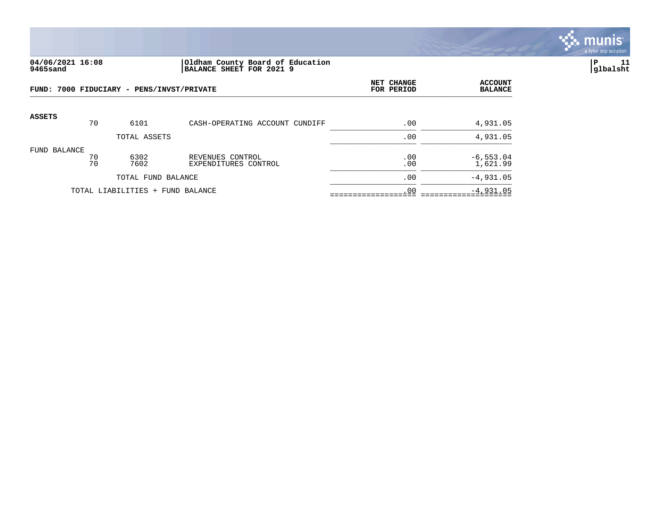

### **04/06/2021 16:08 |Oldham County Board of Education |P 11 9465sand |BALANCE SHEET FOR 2021 9 |glbalsht**

|               |          | FUND: 7000 FIDUCIARY - PENS/INVST/PRIVATE | NET CHANGE<br>FOR PERIOD                 | <b>ACCOUNT</b><br><b>BALANCE</b> |                         |
|---------------|----------|-------------------------------------------|------------------------------------------|----------------------------------|-------------------------|
| <b>ASSETS</b> | 70       | 6101                                      | CASH-OPERATING ACCOUNT CUNDIFF           | .00                              | 4,931.05                |
|               |          | TOTAL ASSETS                              |                                          | .00                              | 4,931.05                |
| FUND BALANCE  | 70<br>70 | 6302<br>7602                              | REVENUES CONTROL<br>EXPENDITURES CONTROL | .00<br>.00                       | $-6,553.04$<br>1,621.99 |
|               |          | TOTAL FUND BALANCE                        |                                          | .00                              | $-4,931.05$             |
|               |          | TOTAL LIABILITIES + FUND BALANCE          |                                          | .00                              | $-4,931.05$             |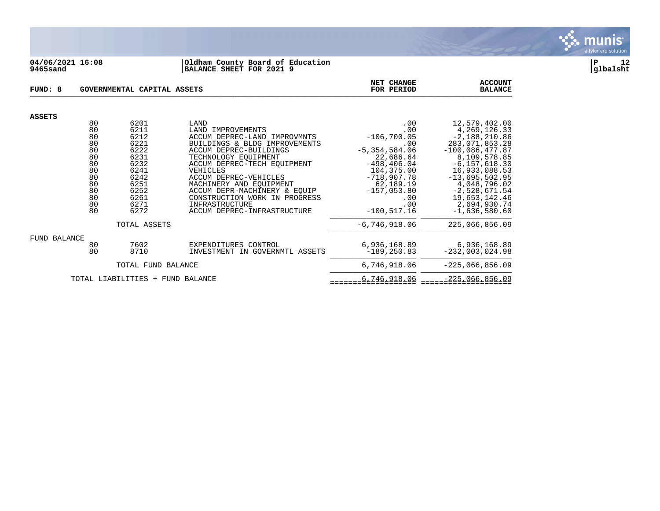

### **04/06/2021 16:08 |Oldham County Board of Education |P 12 9465sand |BALANCE SHEET FOR 2021 9 |glbalsht**

| FUND: 8             |                                                                                  | GOVERNMENTAL CAPITAL ASSETS                                                                                  |                                                                                                                                                                                                                                                                                                                                                               | NET CHANGE<br>FOR PERIOD                                                                                                                                                            | <b>ACCOUNT</b><br><b>BALANCE</b>                                                                                                                                                                                                                            |
|---------------------|----------------------------------------------------------------------------------|--------------------------------------------------------------------------------------------------------------|---------------------------------------------------------------------------------------------------------------------------------------------------------------------------------------------------------------------------------------------------------------------------------------------------------------------------------------------------------------|-------------------------------------------------------------------------------------------------------------------------------------------------------------------------------------|-------------------------------------------------------------------------------------------------------------------------------------------------------------------------------------------------------------------------------------------------------------|
|                     |                                                                                  |                                                                                                              |                                                                                                                                                                                                                                                                                                                                                               |                                                                                                                                                                                     |                                                                                                                                                                                                                                                             |
| <b>ASSETS</b>       | 80<br>80<br>80<br>80<br>80<br>80<br>80<br>80<br>80<br>80<br>80<br>80<br>80<br>80 | 6201<br>6211<br>6212<br>6221<br>6222<br>6231<br>6232<br>6241<br>6242<br>6251<br>6252<br>6261<br>6271<br>6272 | LAND<br>LAND IMPROVEMENTS<br>ACCUM DEPREC-LAND IMPROVMNTS<br>BUILDINGS & BLDG IMPROVEMENTS<br>ACCUM DEPREC-BUILDINGS<br>TECHNOLOGY EQUIPMENT<br>ACCUM DEPREC-TECH EOUIPMENT<br>VEHICLES<br>ACCUM DEPREC-VEHICLES<br>MACHINERY AND EQUIPMENT<br>ACCUM DEPR-MACHINERY & EQUIP<br>CONSTRUCTION WORK IN PROGRESS<br>INFRASTRUCTURE<br>ACCUM DEPREC-INFRASTRUCTURE | .00<br>.00<br>$-106, 700.05$<br>.00<br>$-5, 354, 584.06$<br>22,686.64<br>$-498, 406.04$<br>104,375.00<br>$-718,907.78$<br>62,189.19<br>$-157,053.80$<br>.00<br>.00<br>$-100.517.16$ | 12,579,402.00<br>4, 269, 126. 33<br>$-2,188,210.86$<br>283,071,853.28<br>$-100,086,477.87$<br>8,109,578.85<br>$-6, 157, 618.30$<br>16,933,088.53<br>$-13,695,502.95$<br>4,048,796.02<br>$-2,528,671.54$<br>19,653,142.46<br>2,694,930.74<br>$-1,636,580.60$ |
|                     |                                                                                  | TOTAL ASSETS                                                                                                 |                                                                                                                                                                                                                                                                                                                                                               | $-6, 746, 918.06$                                                                                                                                                                   | 225,066,856.09                                                                                                                                                                                                                                              |
| <b>FUND BALANCE</b> | 80<br>80                                                                         | 7602<br>8710                                                                                                 | EXPENDITURES CONTROL<br>INVESTMENT IN GOVERNMTL ASSETS                                                                                                                                                                                                                                                                                                        | 6,936,168.89<br>$-189, 250.83$                                                                                                                                                      | 6,936,168.89<br>$-232,003,024.98$                                                                                                                                                                                                                           |
|                     |                                                                                  | TOTAL FUND BALANCE                                                                                           |                                                                                                                                                                                                                                                                                                                                                               | 6,746,918.06                                                                                                                                                                        | $-225,066,856.09$                                                                                                                                                                                                                                           |
|                     |                                                                                  | TOTAL LIABILITIES<br>$^{+}$                                                                                  | FUND BALANCE                                                                                                                                                                                                                                                                                                                                                  | 6,746,918.06                                                                                                                                                                        | $-225,066,856.09$                                                                                                                                                                                                                                           |